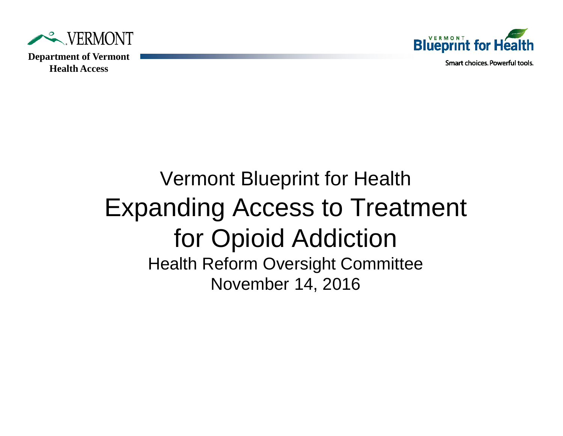



Smart choices, Powerful tools.

### Vermont Blueprint for Health Expanding Access to Treatment for Opioid Addiction Health Reform Oversight Committee November 14, 2016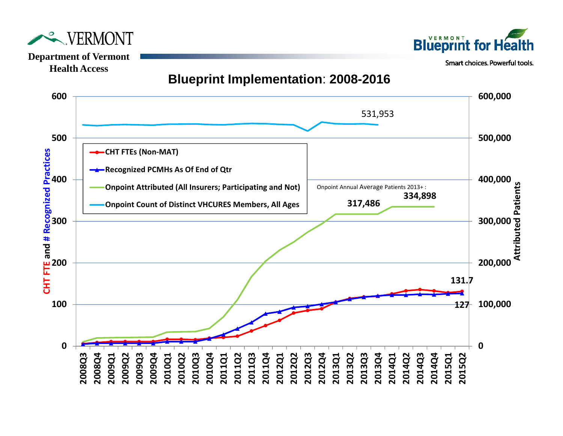



Smart choices. Powerful tools.



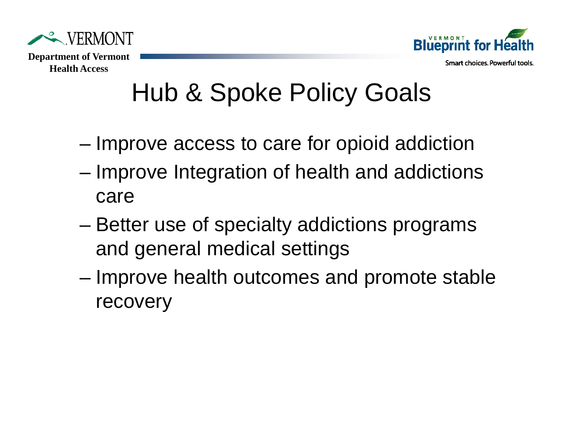

**Blueprint for H** Smart choices, Powerful tools.

#### **Health Access**

# Hub & Spoke Policy Goals

- Improve access to care for opioid addiction
- Improve Integration of health and addictions care
- Better use of specialty addictions programs and general medical settings
- Improve health outcomes and promote stable recovery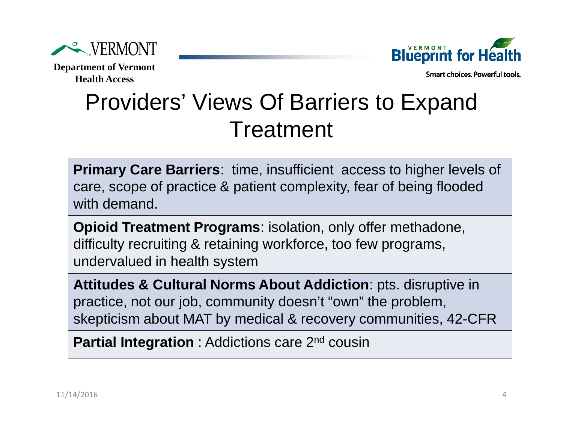



Smart choices, Powerful tools,

## Providers' Views Of Barriers to Expand Treatment

**Primary Care Barriers**: time, insufficient access to higher levels of care, scope of practice & patient complexity, fear of being flooded with demand.

**Opioid Treatment Programs**: isolation, only offer methadone, difficulty recruiting & retaining workforce, too few programs, undervalued in health system

**Attitudes & Cultural Norms About Addiction**: pts. disruptive in practice, not our job, community doesn't "own" the problem, skepticism about MAT by medical & recovery communities, 42-CFR

**Partial Integration** : Addictions care 2<sup>nd</sup> cousin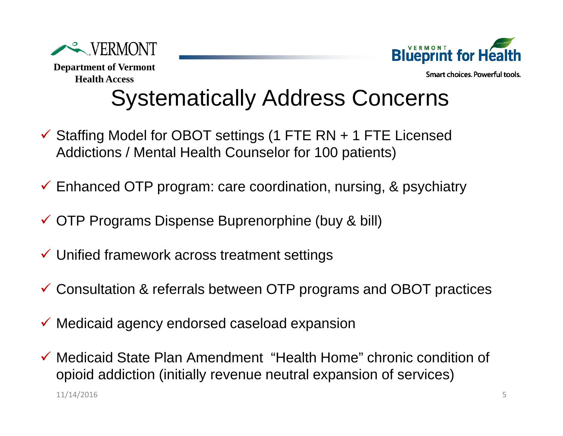



Smart choices, Powerful tools,

## Systematically Address Concerns

- $\checkmark$  Staffing Model for OBOT settings (1 FTE RN + 1 FTE Licensed Addictions / Mental Health Counselor for 100 patients)
- Enhanced OTP program: care coordination, nursing, & psychiatry
- OTP Programs Dispense Buprenorphine (buy & bill)
- $\checkmark$  Unified framework across treatment settings
- Consultation & referrals between OTP programs and OBOT practices
- $\checkmark$  Medicaid agency endorsed caseload expansion
- 511/14/2016 Medicaid State Plan Amendment "Health Home" chronic condition of opioid addiction (initially revenue neutral expansion of services)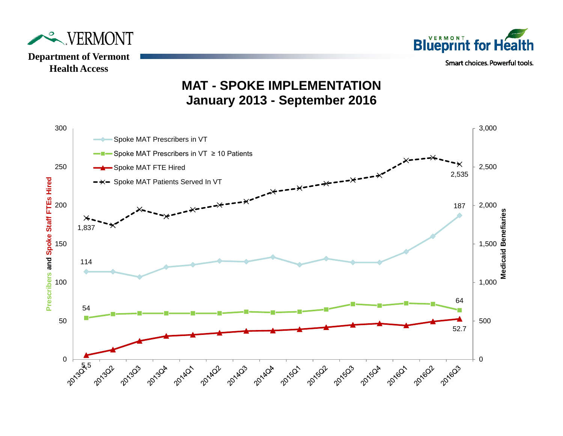



**MAT - SPOKE IMPLEMENTATION January 2013 - September 2016**